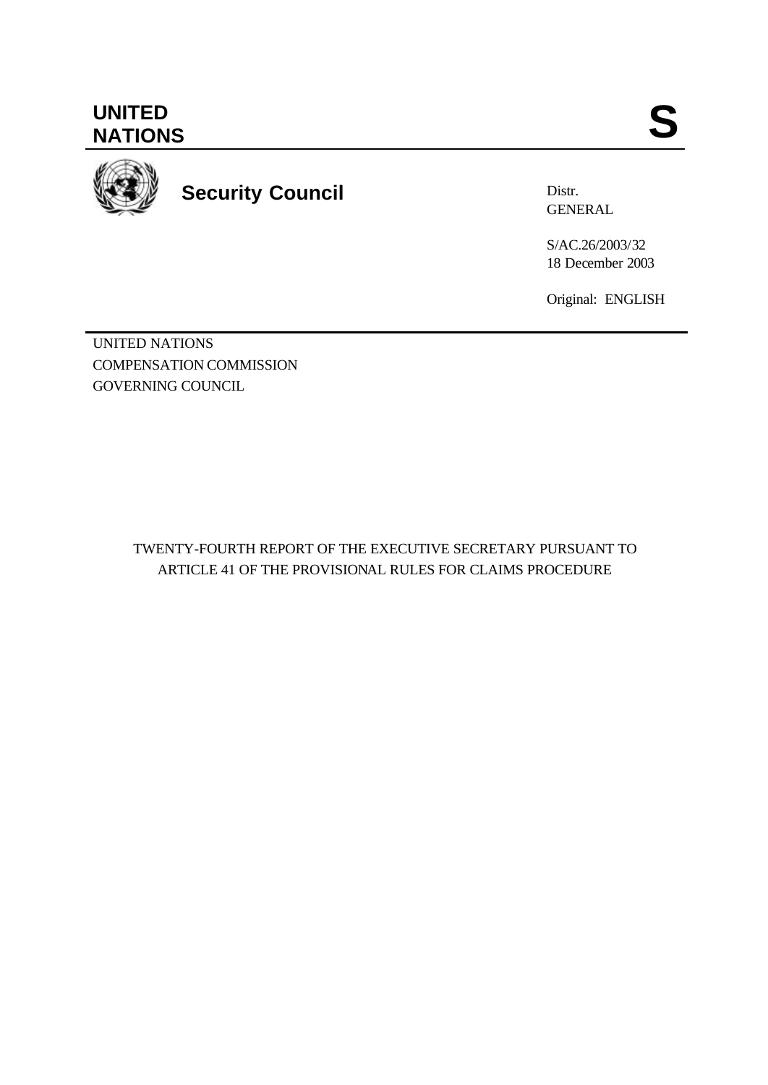**UNITED** UNITED SANTIONS



**Security Council**

Distr. GENERAL

S/AC.26/2003/32 18 December 2003

Original: ENGLISH

UNITED NATIONS COMPENSATION COMMISSION GOVERNING COUNCIL

> TWENTY-FOURTH REPORT OF THE EXECUTIVE SECRETARY PURSUANT TO ARTICLE 41 OF THE PROVISIONAL RULES FOR CLAIMS PROCEDURE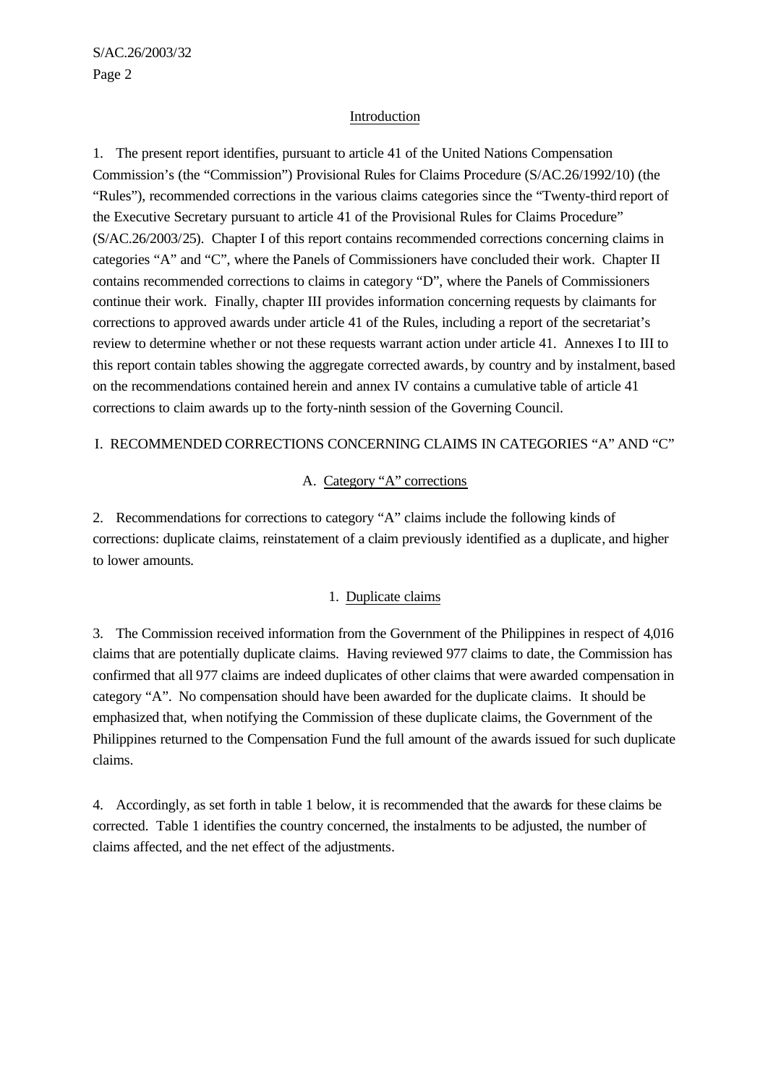#### Introduction

1. The present report identifies, pursuant to article 41 of the United Nations Compensation Commission's (the "Commission") Provisional Rules for Claims Procedure (S/AC.26/1992/10) (the "Rules"), recommended corrections in the various claims categories since the "Twenty-third report of the Executive Secretary pursuant to article 41 of the Provisional Rules for Claims Procedure" (S/AC.26/2003/25). Chapter I of this report contains recommended corrections concerning claims in categories "A" and "C", where the Panels of Commissioners have concluded their work. Chapter II contains recommended corrections to claims in category "D", where the Panels of Commissioners continue their work. Finally, chapter III provides information concerning requests by claimants for corrections to approved awards under article 41 of the Rules, including a report of the secretariat's review to determine whether or not these requests warrant action under article 41. Annexes I to III to this report contain tables showing the aggregate corrected awards, by country and by instalment, based on the recommendations contained herein and annex IV contains a cumulative table of article 41 corrections to claim awards up to the forty-ninth session of the Governing Council.

### I. RECOMMENDED CORRECTIONS CONCERNING CLAIMS IN CATEGORIES "A" AND "C"

#### A. Category "A" corrections

2. Recommendations for corrections to category "A" claims include the following kinds of corrections: duplicate claims, reinstatement of a claim previously identified as a duplicate, and higher to lower amounts.

#### 1. Duplicate claims

3. The Commission received information from the Government of the Philippines in respect of 4,016 claims that are potentially duplicate claims. Having reviewed 977 claims to date, the Commission has confirmed that all 977 claims are indeed duplicates of other claims that were awarded compensation in category "A". No compensation should have been awarded for the duplicate claims. It should be emphasized that, when notifying the Commission of these duplicate claims, the Government of the Philippines returned to the Compensation Fund the full amount of the awards issued for such duplicate claims.

4. Accordingly, as set forth in table 1 below, it is recommended that the awards for these claims be corrected. Table 1 identifies the country concerned, the instalments to be adjusted, the number of claims affected, and the net effect of the adjustments.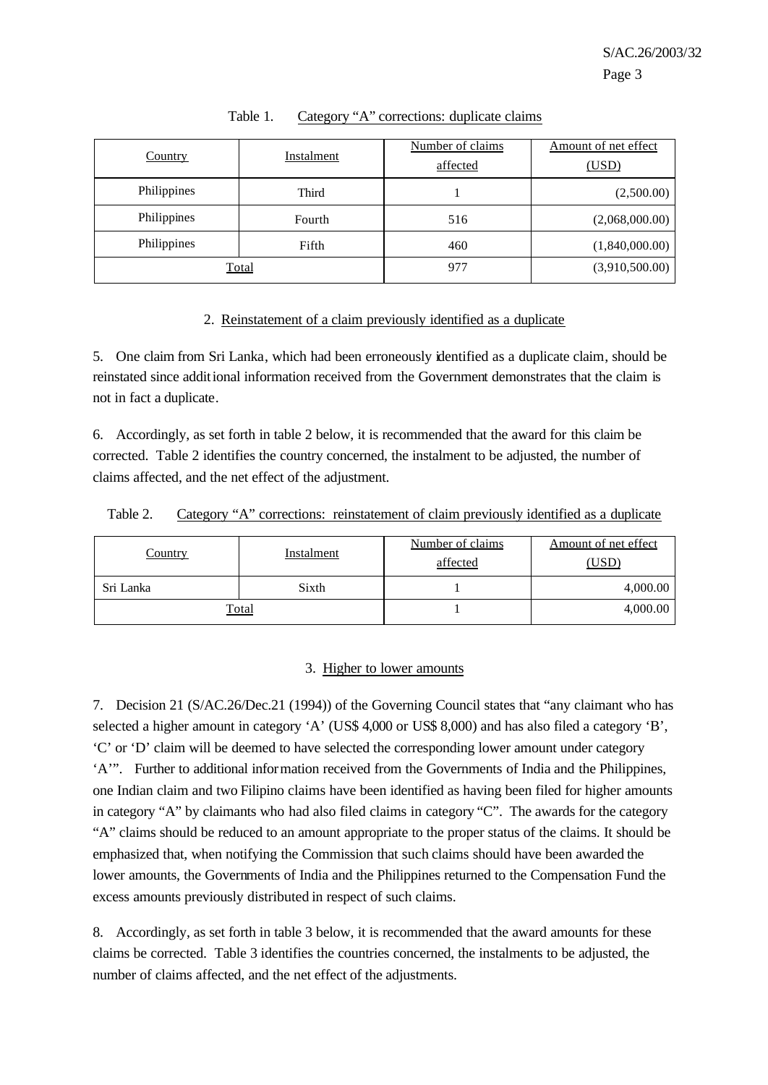| <b>Country</b> | Instalment |     | Amount of net effect<br>(USD) |  |
|----------------|------------|-----|-------------------------------|--|
| Philippines    | Third      |     | (2,500.00)                    |  |
| Philippines    | Fourth     | 516 | (2,068,000.00)                |  |
| Philippines    | Fifth      | 460 | (1,840,000.00)                |  |
| Total          |            | 977 | (3,910,500.00)                |  |

Table 1. Category "A" corrections: duplicate claims

### 2. Reinstatement of a claim previously identified as a duplicate

5. One claim from Sri Lanka, which had been erroneously identified as a duplicate claim, should be reinstated since additional information received from the Government demonstrates that the claim is not in fact a duplicate.

6. Accordingly, as set forth in table 2 below, it is recommended that the award for this claim be corrected. Table 2 identifies the country concerned, the instalment to be adjusted, the number of claims affected, and the net effect of the adjustment.

|  | Table 2. |  |  | Category "A" corrections: reinstatement of claim previously identified as a duplicate |  |  |  |  |  |
|--|----------|--|--|---------------------------------------------------------------------------------------|--|--|--|--|--|
|--|----------|--|--|---------------------------------------------------------------------------------------|--|--|--|--|--|

| Instalment<br><u>Country</u> |              | Number of claims<br>affected | Amount of net effect<br>(USD) |  |  |
|------------------------------|--------------|------------------------------|-------------------------------|--|--|
| Sri Lanka                    | Sixth        |                              | 4,000.00                      |  |  |
|                              | <b>Total</b> |                              | 4,000.00                      |  |  |

### 3. Higher to lower amounts

7. Decision 21 (S/AC.26/Dec.21 (1994)) of the Governing Council states that "any claimant who has selected a higher amount in category 'A' (US\$ 4,000 or US\$ 8,000) and has also filed a category 'B', 'C' or 'D' claim will be deemed to have selected the corresponding lower amount under category 'A'". Further to additional information received from the Governments of India and the Philippines, one Indian claim and two Filipino claims have been identified as having been filed for higher amounts in category "A" by claimants who had also filed claims in category "C". The awards for the category "A" claims should be reduced to an amount appropriate to the proper status of the claims. It should be emphasized that, when notifying the Commission that such claims should have been awarded the lower amounts, the Governments of India and the Philippines returned to the Compensation Fund the excess amounts previously distributed in respect of such claims.

8. Accordingly, as set forth in table 3 below, it is recommended that the award amounts for these claims be corrected. Table 3 identifies the countries concerned, the instalments to be adjusted, the number of claims affected, and the net effect of the adjustments.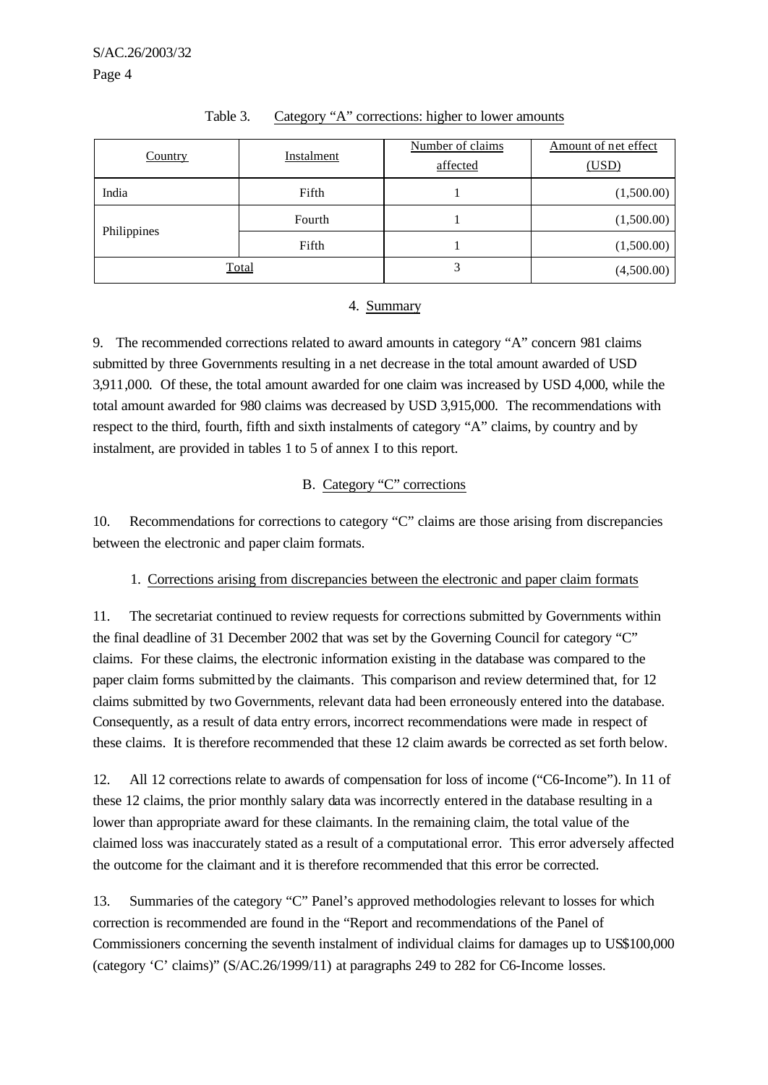| <b>Country</b> | Instalment | Number of claims<br>affected | Amount of net effect<br>(USD) |  |  |
|----------------|------------|------------------------------|-------------------------------|--|--|
| India          | Fifth      |                              | (1,500.00)                    |  |  |
|                | Fourth     |                              | (1,500.00)                    |  |  |
| Philippines    | Fifth      |                              | (1,500.00)                    |  |  |
| Total          |            | 3                            | (4,500.00)                    |  |  |

## Table 3. Category "A" corrections: higher to lower amounts

### 4. Summary

9. The recommended corrections related to award amounts in category "A" concern 981 claims submitted by three Governments resulting in a net decrease in the total amount awarded of USD 3,911,000. Of these, the total amount awarded for one claim was increased by USD 4,000, while the total amount awarded for 980 claims was decreased by USD 3,915,000. The recommendations with respect to the third, fourth, fifth and sixth instalments of category "A" claims, by country and by instalment, are provided in tables 1 to 5 of annex I to this report.

## B. Category "C" corrections

10. Recommendations for corrections to category "C" claims are those arising from discrepancies between the electronic and paper claim formats.

# 1. Corrections arising from discrepancies between the electronic and paper claim formats

11. The secretariat continued to review requests for corrections submitted by Governments within the final deadline of 31 December 2002 that was set by the Governing Council for category "C" claims. For these claims, the electronic information existing in the database was compared to the paper claim forms submitted by the claimants. This comparison and review determined that, for 12 claims submitted by two Governments, relevant data had been erroneously entered into the database. Consequently, as a result of data entry errors, incorrect recommendations were made in respect of these claims. It is therefore recommended that these 12 claim awards be corrected as set forth below.

12. All 12 corrections relate to awards of compensation for loss of income ("C6-Income"). In 11 of these 12 claims, the prior monthly salary data was incorrectly entered in the database resulting in a lower than appropriate award for these claimants. In the remaining claim, the total value of the claimed loss was inaccurately stated as a result of a computational error. This error adversely affected the outcome for the claimant and it is therefore recommended that this error be corrected.

13. Summaries of the category "C" Panel's approved methodologies relevant to losses for which correction is recommended are found in the "Report and recommendations of the Panel of Commissioners concerning the seventh instalment of individual claims for damages up to US\$100,000 (category 'C' claims)" (S/AC.26/1999/11) at paragraphs 249 to 282 for C6-Income losses.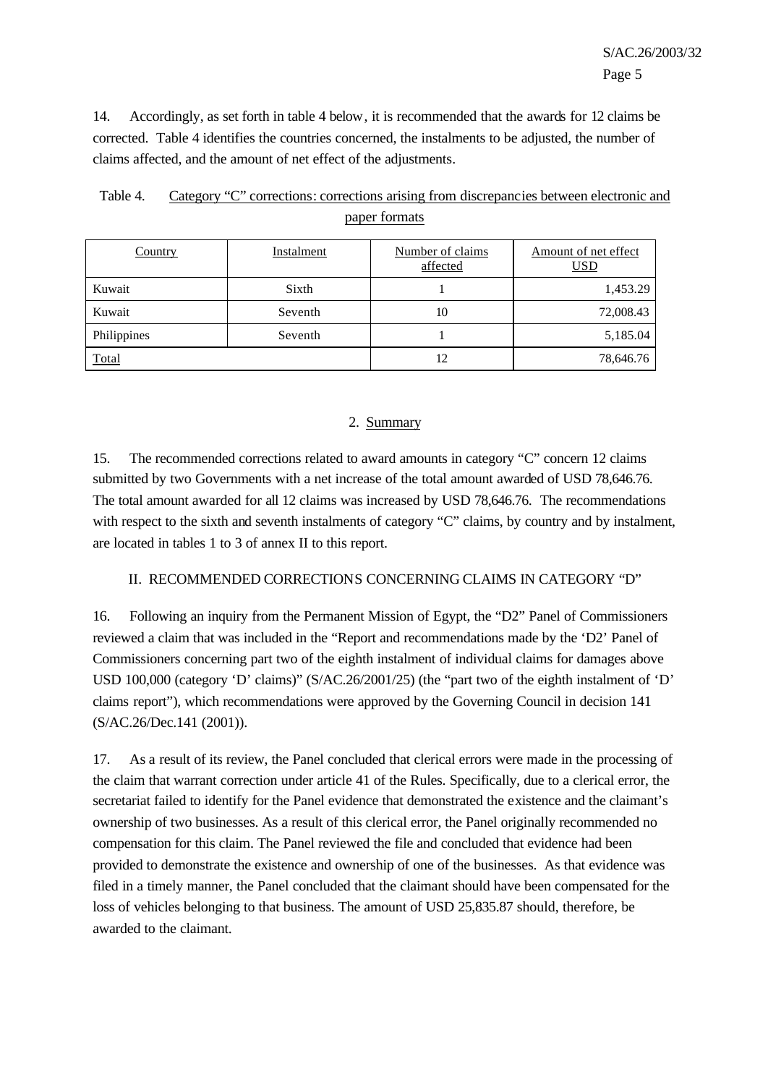14. Accordingly, as set forth in table 4 below, it is recommended that the awards for 12 claims be corrected. Table 4 identifies the countries concerned, the instalments to be adjusted, the number of claims affected, and the amount of net effect of the adjustments.

| Country      | Instalment | Number of claims<br>affected | Amount of net effect<br><u>USD</u> |
|--------------|------------|------------------------------|------------------------------------|
| Kuwait       | Sixth      |                              | 1,453.29                           |
| Kuwait       | Seventh    | 10                           | 72,008.43                          |
| Philippines  | Seventh    |                              | 5,185.04                           |
| <b>Total</b> |            | 12                           | 78,646.76                          |

| Table 4. | Category "C" corrections: corrections arising from discrepancies between electronic and |
|----------|-----------------------------------------------------------------------------------------|
|          | paper formats                                                                           |

### 2. Summary

15. The recommended corrections related to award amounts in category "C" concern 12 claims submitted by two Governments with a net increase of the total amount awarded of USD 78,646.76. The total amount awarded for all 12 claims was increased by USD 78,646.76. The recommendations with respect to the sixth and seventh instalments of category "C" claims, by country and by instalment, are located in tables 1 to 3 of annex II to this report.

# II. RECOMMENDED CORRECTIONS CONCERNING CLAIMS IN CATEGORY "D"

16. Following an inquiry from the Permanent Mission of Egypt, the "D2" Panel of Commissioners reviewed a claim that was included in the "Report and recommendations made by the 'D2' Panel of Commissioners concerning part two of the eighth instalment of individual claims for damages above USD 100,000 (category 'D' claims)" (S/AC.26/2001/25) (the "part two of the eighth instalment of 'D' claims report"), which recommendations were approved by the Governing Council in decision 141 (S/AC.26/Dec.141 (2001)).

17. As a result of its review, the Panel concluded that clerical errors were made in the processing of the claim that warrant correction under article 41 of the Rules. Specifically, due to a clerical error, the secretariat failed to identify for the Panel evidence that demonstrated the existence and the claimant's ownership of two businesses. As a result of this clerical error, the Panel originally recommended no compensation for this claim. The Panel reviewed the file and concluded that evidence had been provided to demonstrate the existence and ownership of one of the businesses. As that evidence was filed in a timely manner, the Panel concluded that the claimant should have been compensated for the loss of vehicles belonging to that business. The amount of USD 25,835.87 should, therefore, be awarded to the claimant.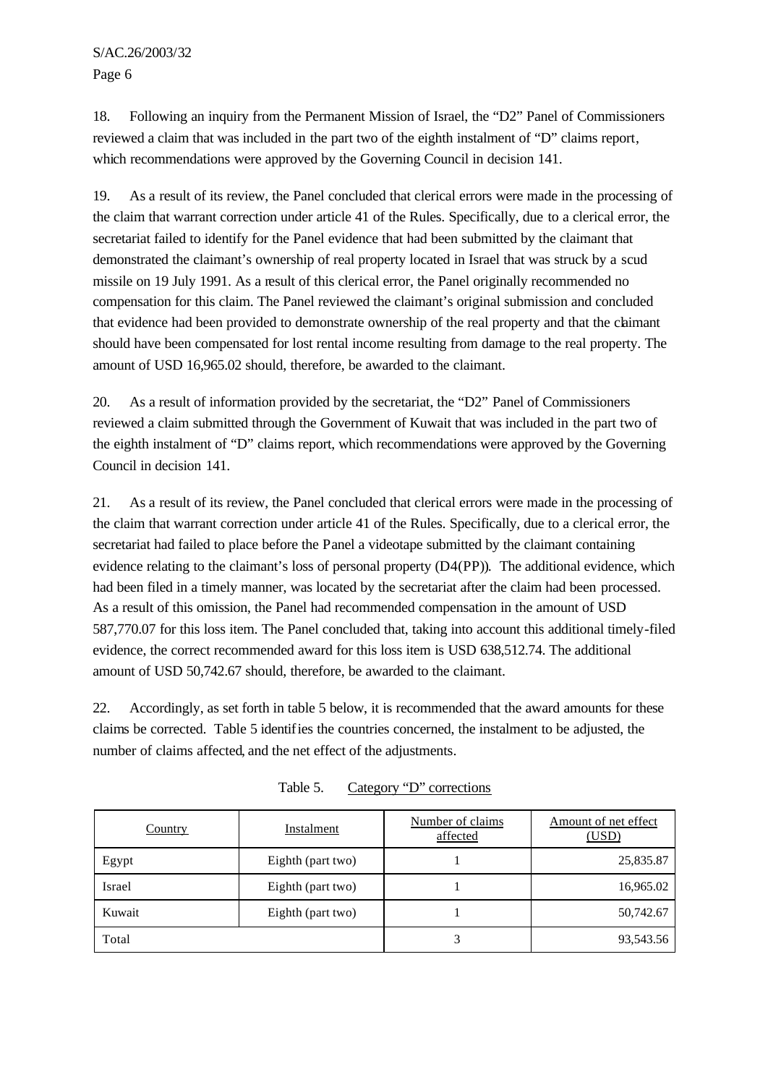S/AC.26/2003/32 Page 6

18. Following an inquiry from the Permanent Mission of Israel, the "D2" Panel of Commissioners reviewed a claim that was included in the part two of the eighth instalment of "D" claims report, which recommendations were approved by the Governing Council in decision 141.

19. As a result of its review, the Panel concluded that clerical errors were made in the processing of the claim that warrant correction under article 41 of the Rules. Specifically, due to a clerical error, the secretariat failed to identify for the Panel evidence that had been submitted by the claimant that demonstrated the claimant's ownership of real property located in Israel that was struck by a scud missile on 19 July 1991. As a result of this clerical error, the Panel originally recommended no compensation for this claim. The Panel reviewed the claimant's original submission and concluded that evidence had been provided to demonstrate ownership of the real property and that the claimant should have been compensated for lost rental income resulting from damage to the real property. The amount of USD 16,965.02 should, therefore, be awarded to the claimant.

20. As a result of information provided by the secretariat, the "D2" Panel of Commissioners reviewed a claim submitted through the Government of Kuwait that was included in the part two of the eighth instalment of "D" claims report, which recommendations were approved by the Governing Council in decision 141.

21. As a result of its review, the Panel concluded that clerical errors were made in the processing of the claim that warrant correction under article 41 of the Rules. Specifically, due to a clerical error, the secretariat had failed to place before the Panel a videotape submitted by the claimant containing evidence relating to the claimant's loss of personal property (D4(PP)). The additional evidence, which had been filed in a timely manner, was located by the secretariat after the claim had been processed. As a result of this omission, the Panel had recommended compensation in the amount of USD 587,770.07 for this loss item. The Panel concluded that, taking into account this additional timely-filed evidence, the correct recommended award for this loss item is USD 638,512.74. The additional amount of USD 50,742.67 should, therefore, be awarded to the claimant.

22. Accordingly, as set forth in table 5 below, it is recommended that the award amounts for these claims be corrected. Table 5 identifies the countries concerned, the instalment to be adjusted, the number of claims affected, and the net effect of the adjustments.

| Country | Instalment        |  | Amount of net effect<br>(USD) |
|---------|-------------------|--|-------------------------------|
| Egypt   | Eighth (part two) |  | 25,835.87                     |
| Israel  | Eighth (part two) |  | 16,965.02                     |
| Kuwait  | Eighth (part two) |  | 50,742.67                     |
| Total   |                   |  | 93,543.56                     |

Table 5. Category "D" corrections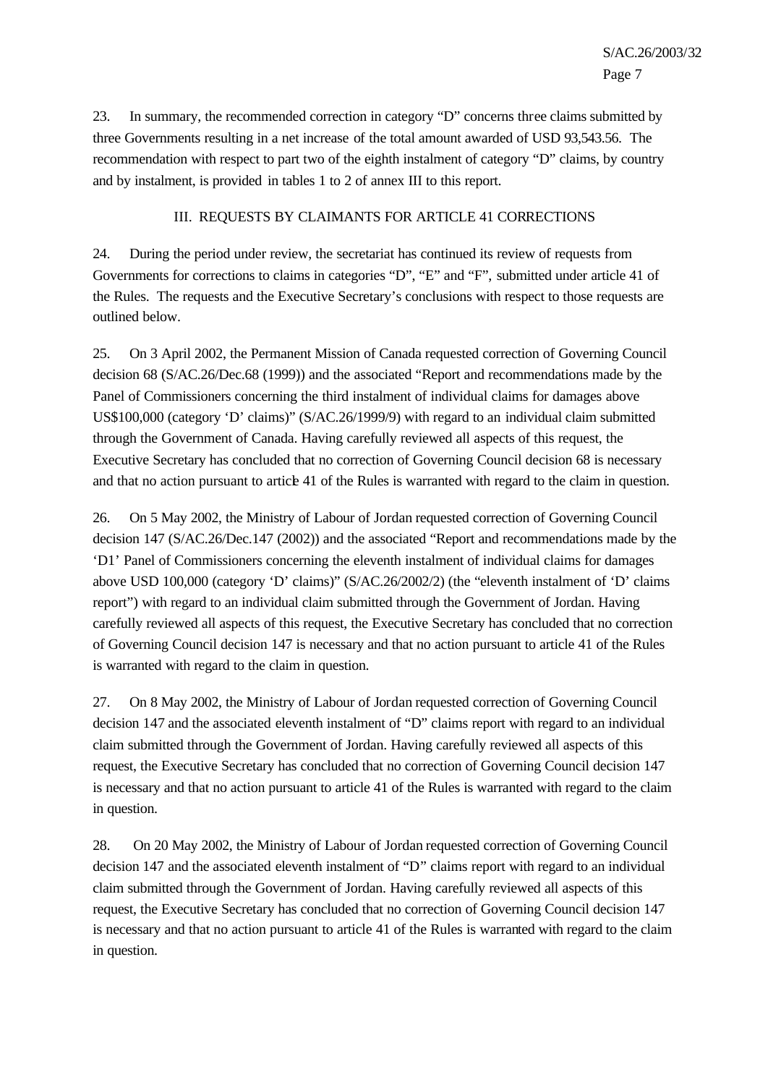23. In summary, the recommended correction in category "D" concerns three claims submitted by three Governments resulting in a net increase of the total amount awarded of USD 93,543.56. The recommendation with respect to part two of the eighth instalment of category "D" claims, by country and by instalment, is provided in tables 1 to 2 of annex III to this report.

### III. REQUESTS BY CLAIMANTS FOR ARTICLE 41 CORRECTIONS

24. During the period under review, the secretariat has continued its review of requests from Governments for corrections to claims in categories "D", "E" and "F", submitted under article 41 of the Rules. The requests and the Executive Secretary's conclusions with respect to those requests are outlined below.

25. On 3 April 2002, the Permanent Mission of Canada requested correction of Governing Council decision 68 (S/AC.26/Dec.68 (1999)) and the associated "Report and recommendations made by the Panel of Commissioners concerning the third instalment of individual claims for damages above US\$100,000 (category 'D' claims)" (S/AC.26/1999/9) with regard to an individual claim submitted through the Government of Canada. Having carefully reviewed all aspects of this request, the Executive Secretary has concluded that no correction of Governing Council decision 68 is necessary and that no action pursuant to article 41 of the Rules is warranted with regard to the claim in question.

26. On 5 May 2002, the Ministry of Labour of Jordan requested correction of Governing Council decision 147 (S/AC.26/Dec.147 (2002)) and the associated "Report and recommendations made by the 'D1' Panel of Commissioners concerning the eleventh instalment of individual claims for damages above USD 100,000 (category 'D' claims)" (S/AC.26/2002/2) (the "eleventh instalment of 'D' claims report") with regard to an individual claim submitted through the Government of Jordan. Having carefully reviewed all aspects of this request, the Executive Secretary has concluded that no correction of Governing Council decision 147 is necessary and that no action pursuant to article 41 of the Rules is warranted with regard to the claim in question.

27. On 8 May 2002, the Ministry of Labour of Jordan requested correction of Governing Council decision 147 and the associated eleventh instalment of "D" claims report with regard to an individual claim submitted through the Government of Jordan. Having carefully reviewed all aspects of this request, the Executive Secretary has concluded that no correction of Governing Council decision 147 is necessary and that no action pursuant to article 41 of the Rules is warranted with regard to the claim in question.

28. On 20 May 2002, the Ministry of Labour of Jordan requested correction of Governing Council decision 147 and the associated eleventh instalment of "D" claims report with regard to an individual claim submitted through the Government of Jordan. Having carefully reviewed all aspects of this request, the Executive Secretary has concluded that no correction of Governing Council decision 147 is necessary and that no action pursuant to article 41 of the Rules is warranted with regard to the claim in question.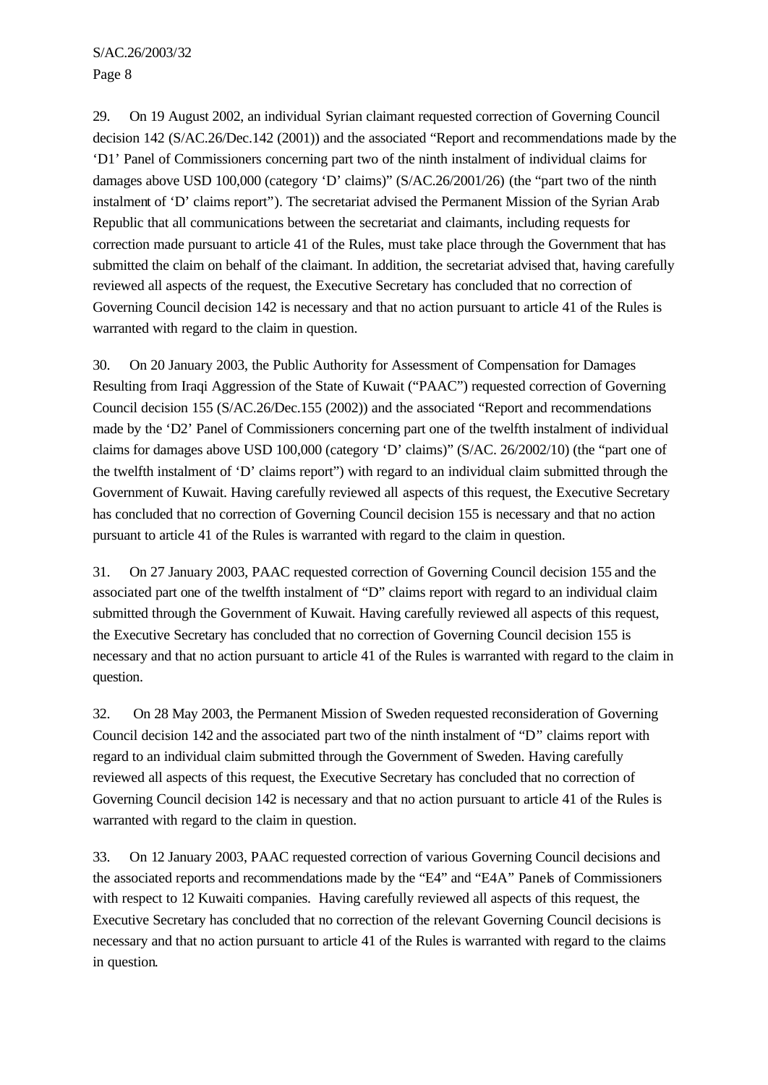S/AC.26/2003/32 Page 8

29. On 19 August 2002, an individual Syrian claimant requested correction of Governing Council decision 142 (S/AC.26/Dec.142 (2001)) and the associated "Report and recommendations made by the 'D1' Panel of Commissioners concerning part two of the ninth instalment of individual claims for damages above USD 100,000 (category 'D' claims)" (S/AC.26/2001/26) (the "part two of the ninth instalment of 'D' claims report"). The secretariat advised the Permanent Mission of the Syrian Arab Republic that all communications between the secretariat and claimants, including requests for correction made pursuant to article 41 of the Rules, must take place through the Government that has submitted the claim on behalf of the claimant. In addition, the secretariat advised that, having carefully reviewed all aspects of the request, the Executive Secretary has concluded that no correction of Governing Council decision 142 is necessary and that no action pursuant to article 41 of the Rules is warranted with regard to the claim in question.

30. On 20 January 2003, the Public Authority for Assessment of Compensation for Damages Resulting from Iraqi Aggression of the State of Kuwait ("PAAC") requested correction of Governing Council decision 155 (S/AC.26/Dec.155 (2002)) and the associated "Report and recommendations made by the 'D2' Panel of Commissioners concerning part one of the twelfth instalment of individual claims for damages above USD 100,000 (category 'D' claims)" (S/AC. 26/2002/10) (the "part one of the twelfth instalment of 'D' claims report") with regard to an individual claim submitted through the Government of Kuwait. Having carefully reviewed all aspects of this request, the Executive Secretary has concluded that no correction of Governing Council decision 155 is necessary and that no action pursuant to article 41 of the Rules is warranted with regard to the claim in question.

31. On 27 January 2003, PAAC requested correction of Governing Council decision 155 and the associated part one of the twelfth instalment of "D" claims report with regard to an individual claim submitted through the Government of Kuwait. Having carefully reviewed all aspects of this request, the Executive Secretary has concluded that no correction of Governing Council decision 155 is necessary and that no action pursuant to article 41 of the Rules is warranted with regard to the claim in question.

32. On 28 May 2003, the Permanent Mission of Sweden requested reconsideration of Governing Council decision 142 and the associated part two of the ninth instalment of "D" claims report with regard to an individual claim submitted through the Government of Sweden. Having carefully reviewed all aspects of this request, the Executive Secretary has concluded that no correction of Governing Council decision 142 is necessary and that no action pursuant to article 41 of the Rules is warranted with regard to the claim in question.

33. On 12 January 2003, PAAC requested correction of various Governing Council decisions and the associated reports and recommendations made by the "E4" and "E4A" Panels of Commissioners with respect to 12 Kuwaiti companies. Having carefully reviewed all aspects of this request, the Executive Secretary has concluded that no correction of the relevant Governing Council decisions is necessary and that no action pursuant to article 41 of the Rules is warranted with regard to the claims in question.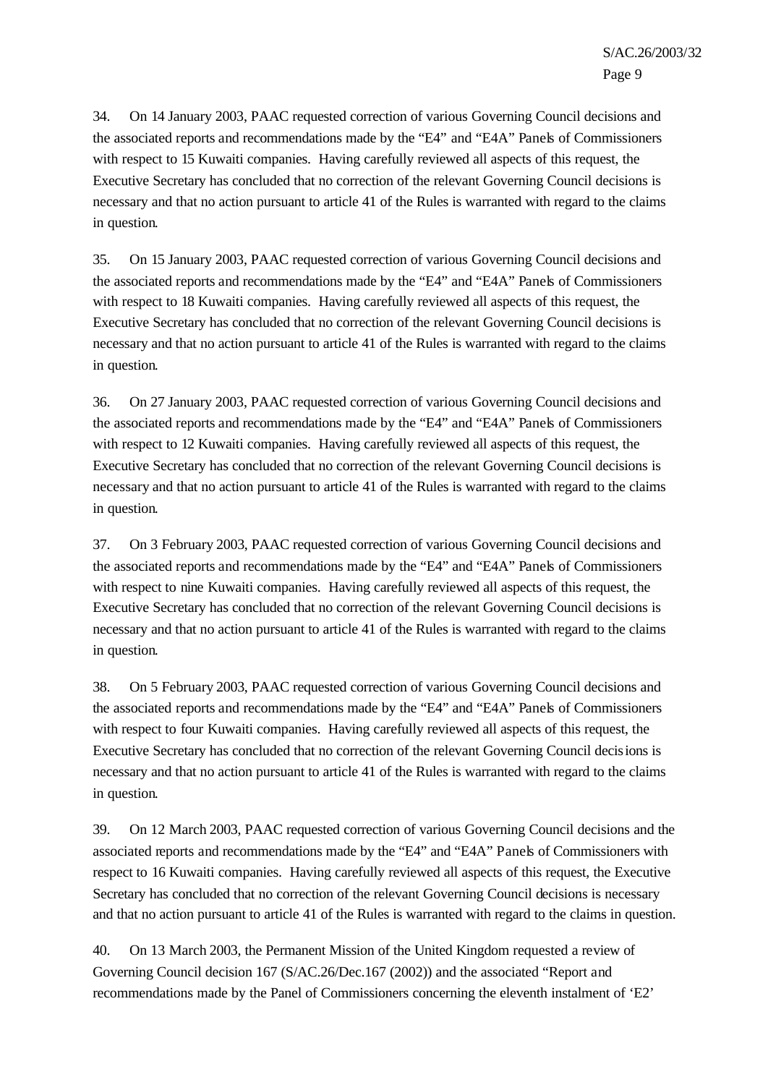34. On 14 January 2003, PAAC requested correction of various Governing Council decisions and the associated reports and recommendations made by the "E4" and "E4A" Panels of Commissioners with respect to 15 Kuwaiti companies. Having carefully reviewed all aspects of this request, the Executive Secretary has concluded that no correction of the relevant Governing Council decisions is necessary and that no action pursuant to article 41 of the Rules is warranted with regard to the claims in question.

35. On 15 January 2003, PAAC requested correction of various Governing Council decisions and the associated reports and recommendations made by the "E4" and "E4A" Panels of Commissioners with respect to 18 Kuwaiti companies. Having carefully reviewed all aspects of this request, the Executive Secretary has concluded that no correction of the relevant Governing Council decisions is necessary and that no action pursuant to article 41 of the Rules is warranted with regard to the claims in question.

36. On 27 January 2003, PAAC requested correction of various Governing Council decisions and the associated reports and recommendations made by the "E4" and "E4A" Panels of Commissioners with respect to 12 Kuwaiti companies. Having carefully reviewed all aspects of this request, the Executive Secretary has concluded that no correction of the relevant Governing Council decisions is necessary and that no action pursuant to article 41 of the Rules is warranted with regard to the claims in question.

37. On 3 February 2003, PAAC requested correction of various Governing Council decisions and the associated reports and recommendations made by the "E4" and "E4A" Panels of Commissioners with respect to nine Kuwaiti companies. Having carefully reviewed all aspects of this request, the Executive Secretary has concluded that no correction of the relevant Governing Council decisions is necessary and that no action pursuant to article 41 of the Rules is warranted with regard to the claims in question.

38. On 5 February 2003, PAAC requested correction of various Governing Council decisions and the associated reports and recommendations made by the "E4" and "E4A" Panels of Commissioners with respect to four Kuwaiti companies. Having carefully reviewed all aspects of this request, the Executive Secretary has concluded that no correction of the relevant Governing Council decisions is necessary and that no action pursuant to article 41 of the Rules is warranted with regard to the claims in question.

39. On 12 March 2003, PAAC requested correction of various Governing Council decisions and the associated reports and recommendations made by the "E4" and "E4A" Panels of Commissioners with respect to 16 Kuwaiti companies. Having carefully reviewed all aspects of this request, the Executive Secretary has concluded that no correction of the relevant Governing Council decisions is necessary and that no action pursuant to article 41 of the Rules is warranted with regard to the claims in question.

40. On 13 March 2003, the Permanent Mission of the United Kingdom requested a review of Governing Council decision 167 (S/AC.26/Dec.167 (2002)) and the associated "Report and recommendations made by the Panel of Commissioners concerning the eleventh instalment of 'E2'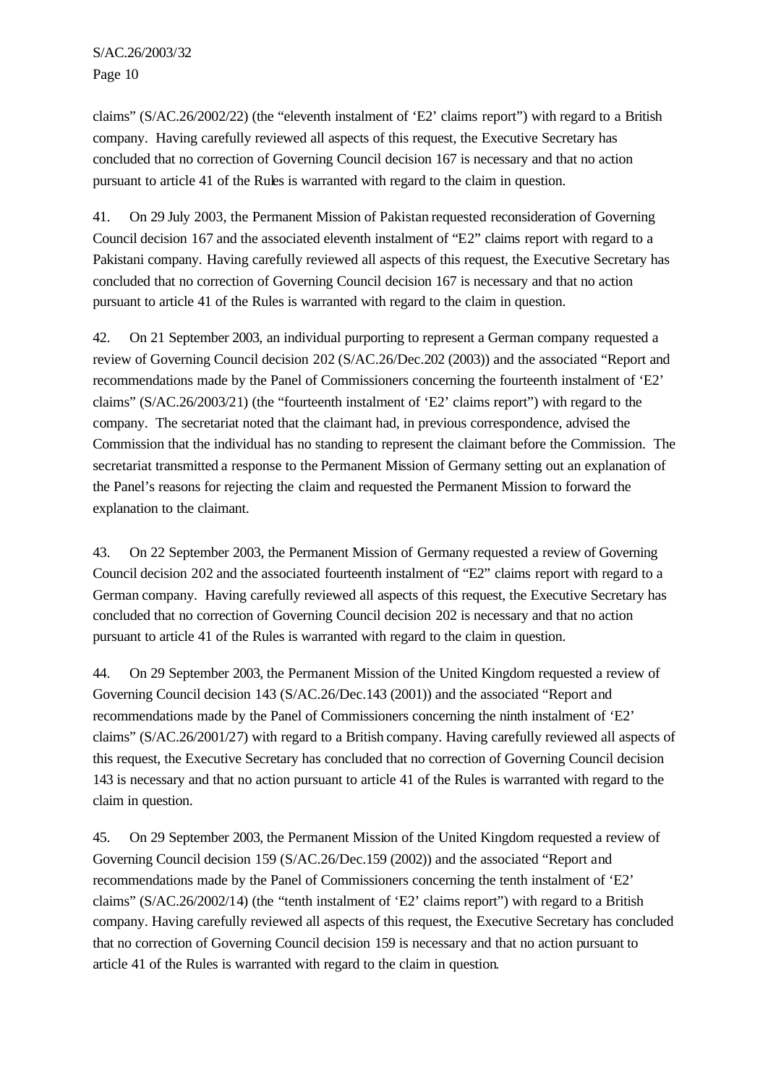claims" (S/AC.26/2002/22) (the "eleventh instalment of 'E2' claims report") with regard to a British company. Having carefully reviewed all aspects of this request, the Executive Secretary has concluded that no correction of Governing Council decision 167 is necessary and that no action pursuant to article 41 of the Rules is warranted with regard to the claim in question.

41. On 29 July 2003, the Permanent Mission of Pakistan requested reconsideration of Governing Council decision 167 and the associated eleventh instalment of "E2" claims report with regard to a Pakistani company. Having carefully reviewed all aspects of this request, the Executive Secretary has concluded that no correction of Governing Council decision 167 is necessary and that no action pursuant to article 41 of the Rules is warranted with regard to the claim in question.

42. On 21 September 2003, an individual purporting to represent a German company requested a review of Governing Council decision 202 (S/AC.26/Dec.202 (2003)) and the associated "Report and recommendations made by the Panel of Commissioners concerning the fourteenth instalment of 'E2' claims" (S/AC.26/2003/21) (the "fourteenth instalment of 'E2' claims report") with regard to the company. The secretariat noted that the claimant had, in previous correspondence, advised the Commission that the individual has no standing to represent the claimant before the Commission. The secretariat transmitted a response to the Permanent Mission of Germany setting out an explanation of the Panel's reasons for rejecting the claim and requested the Permanent Mission to forward the explanation to the claimant.

43. On 22 September 2003, the Permanent Mission of Germany requested a review of Governing Council decision 202 and the associated fourteenth instalment of "E2" claims report with regard to a German company. Having carefully reviewed all aspects of this request, the Executive Secretary has concluded that no correction of Governing Council decision 202 is necessary and that no action pursuant to article 41 of the Rules is warranted with regard to the claim in question.

44. On 29 September 2003, the Permanent Mission of the United Kingdom requested a review of Governing Council decision 143 (S/AC.26/Dec.143 (2001)) and the associated "Report and recommendations made by the Panel of Commissioners concerning the ninth instalment of 'E2' claims" (S/AC.26/2001/27) with regard to a British company. Having carefully reviewed all aspects of this request, the Executive Secretary has concluded that no correction of Governing Council decision 143 is necessary and that no action pursuant to article 41 of the Rules is warranted with regard to the claim in question.

45. On 29 September 2003, the Permanent Mission of the United Kingdom requested a review of Governing Council decision 159 (S/AC.26/Dec.159 (2002)) and the associated "Report and recommendations made by the Panel of Commissioners concerning the tenth instalment of 'E2' claims" (S/AC.26/2002/14) (the "tenth instalment of 'E2' claims report") with regard to a British company. Having carefully reviewed all aspects of this request, the Executive Secretary has concluded that no correction of Governing Council decision 159 is necessary and that no action pursuant to article 41 of the Rules is warranted with regard to the claim in question.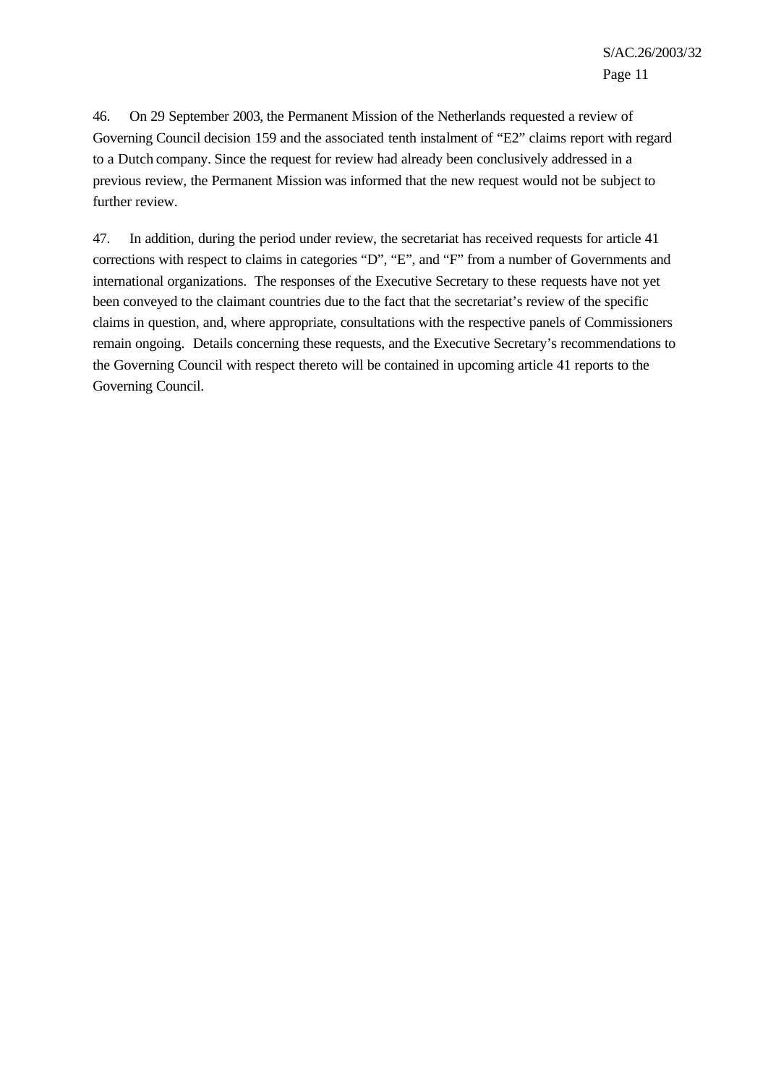46. On 29 September 2003, the Permanent Mission of the Netherlands requested a review of Governing Council decision 159 and the associated tenth instalment of "E2" claims report with regard to a Dutch company. Since the request for review had already been conclusively addressed in a previous review, the Permanent Mission was informed that the new request would not be subject to further review.

47. In addition, during the period under review, the secretariat has received requests for article 41 corrections with respect to claims in categories "D", "E", and "F" from a number of Governments and international organizations. The responses of the Executive Secretary to these requests have not yet been conveyed to the claimant countries due to the fact that the secretariat's review of the specific claims in question, and, where appropriate, consultations with the respective panels of Commissioners remain ongoing. Details concerning these requests, and the Executive Secretary's recommendations to the Governing Council with respect thereto will be contained in upcoming article 41 reports to the Governing Council.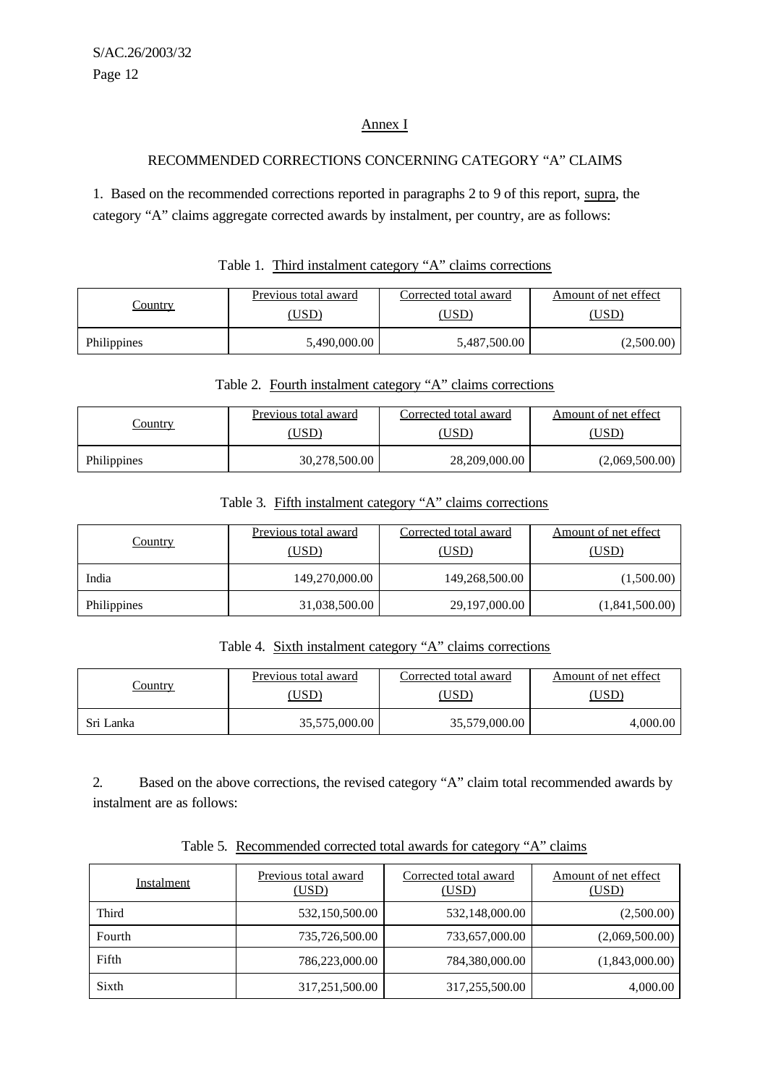## Annex I

## RECOMMENDED CORRECTIONS CONCERNING CATEGORY "A" CLAIMS

1. Based on the recommended corrections reported in paragraphs 2 to 9 of this report, supra, the category "A" claims aggregate corrected awards by instalment, per country, are as follows:

|             | Previous total award | Corrected total award | Amount of net effect |  |
|-------------|----------------------|-----------------------|----------------------|--|
| Country     | (USD)                | USD)                  | ,USD)                |  |
| Philippines | 5,490,000.00         | 5,487,500.00          | (2,500.00)           |  |

# Table 1. Third instalment category "A" claims corrections

#### Table 2. Fourth instalment category "A" claims corrections

|             | Previous total award | Corrected total award | Amount of net effect |  |
|-------------|----------------------|-----------------------|----------------------|--|
| Country     | ,USD)                | ,USD)                 | USD)                 |  |
| Philippines | 30,278,500.00        | 28,209,000.00         | (2,069,500.00)       |  |

# Table 3. Fifth instalment category "A" claims corrections

| <b>Country</b> | Previous total award<br>(USD) | Corrected total award<br>(USD) | Amount of net effect<br><u>(USD)</u> |  |  |
|----------------|-------------------------------|--------------------------------|--------------------------------------|--|--|
| India          | 149,270,000.00                | 149,268,500.00                 | (1,500.00)                           |  |  |
| Philippines    | 31,038,500.00                 | 29,197,000.00                  | (1,841,500.00)                       |  |  |

## Table 4. Sixth instalment category "A" claims corrections

| Country   | Previous total award | Corrected total award | Amount of net effect |  |
|-----------|----------------------|-----------------------|----------------------|--|
|           | ,USD)                | USD`                  | $USD^{\circ}$        |  |
| Sri Lanka | 35,575,000.00        | 35,579,000.00         | 4,000.00             |  |

2. Based on the above corrections, the revised category "A" claim total recommended awards by instalment are as follows:

| Table 5. Recommended corrected total awards for category "A" claims |  |  |  |  |
|---------------------------------------------------------------------|--|--|--|--|
|                                                                     |  |  |  |  |

| Instalment | Previous total award<br>(USD) | Corrected total award<br>(USD) | Amount of net effect<br>(USD) |  |  |
|------------|-------------------------------|--------------------------------|-------------------------------|--|--|
| Third      | 532,150,500.00                | 532,148,000.00                 | (2,500.00)                    |  |  |
| Fourth     | 735,726,500.00                | 733,657,000.00                 | (2,069,500.00)                |  |  |
| Fifth      | 786,223,000.00                | 784,380,000.00                 | (1,843,000.00)                |  |  |
| Sixth      | 317,251,500.00                | 317,255,500.00                 | 4,000.00                      |  |  |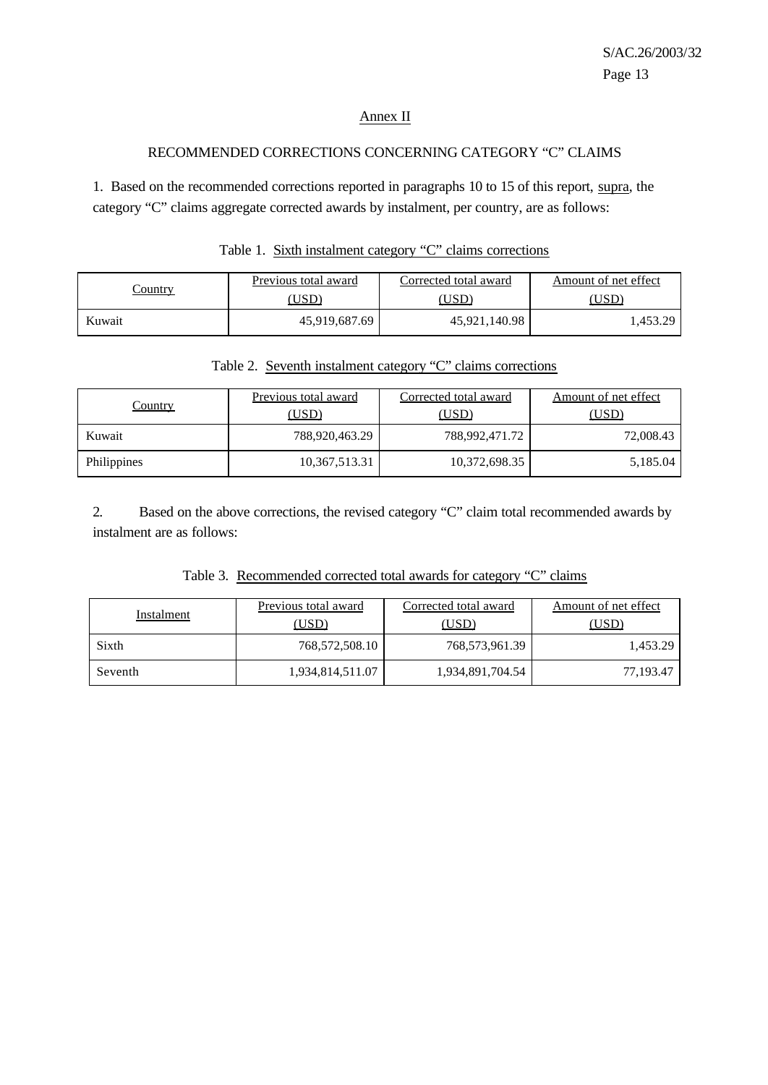## Annex II

# RECOMMENDED CORRECTIONS CONCERNING CATEGORY "C" CLAIMS

1. Based on the recommended corrections reported in paragraphs 10 to 15 of this report, supra, the category "C" claims aggregate corrected awards by instalment, per country, are as follows:

| `ountry | Previous total award | Corrected total award | Amount of net effect |  |  |
|---------|----------------------|-----------------------|----------------------|--|--|
|         |                      | USD <sup>)</sup>      | USD                  |  |  |
| Kuwait  | 45,919,687.69        | 45,921,140.98         | .453.29              |  |  |

| Table 1. Sixth instalment category "C" claims corrections |
|-----------------------------------------------------------|
|-----------------------------------------------------------|

| Table 2. Seventh instalment category "C" claims corrections |  |  |  |
|-------------------------------------------------------------|--|--|--|
|-------------------------------------------------------------|--|--|--|

| <u>Country</u> | Previous total award<br>(USD) | Corrected total award<br>(USD) | Amount of net effect<br>(USD) |  |  |
|----------------|-------------------------------|--------------------------------|-------------------------------|--|--|
| Kuwait         | 788,920,463.29                | 788,992,471.72                 | 72,008.43                     |  |  |
| Philippines    | 10,367,513.31                 | 10,372,698.35                  | 5,185.04                      |  |  |

2. Based on the above corrections, the revised category "C" claim total recommended awards by instalment are as follows:

|  |  | Table 3. Recommended corrected total awards for category "C" claims |  |  |  |  |  |  |  |
|--|--|---------------------------------------------------------------------|--|--|--|--|--|--|--|
|--|--|---------------------------------------------------------------------|--|--|--|--|--|--|--|

| Instalment | Previous total award<br>(USD) | Corrected total award<br>(USD) | Amount of net effect<br>(USD) |
|------------|-------------------------------|--------------------------------|-------------------------------|
| Sixth      | 768,572,508.10                | 768,573,961.39                 | 1,453.29                      |
| Seventh    | 1,934,814,511.07              | 1,934,891,704.54               | 77,193.47                     |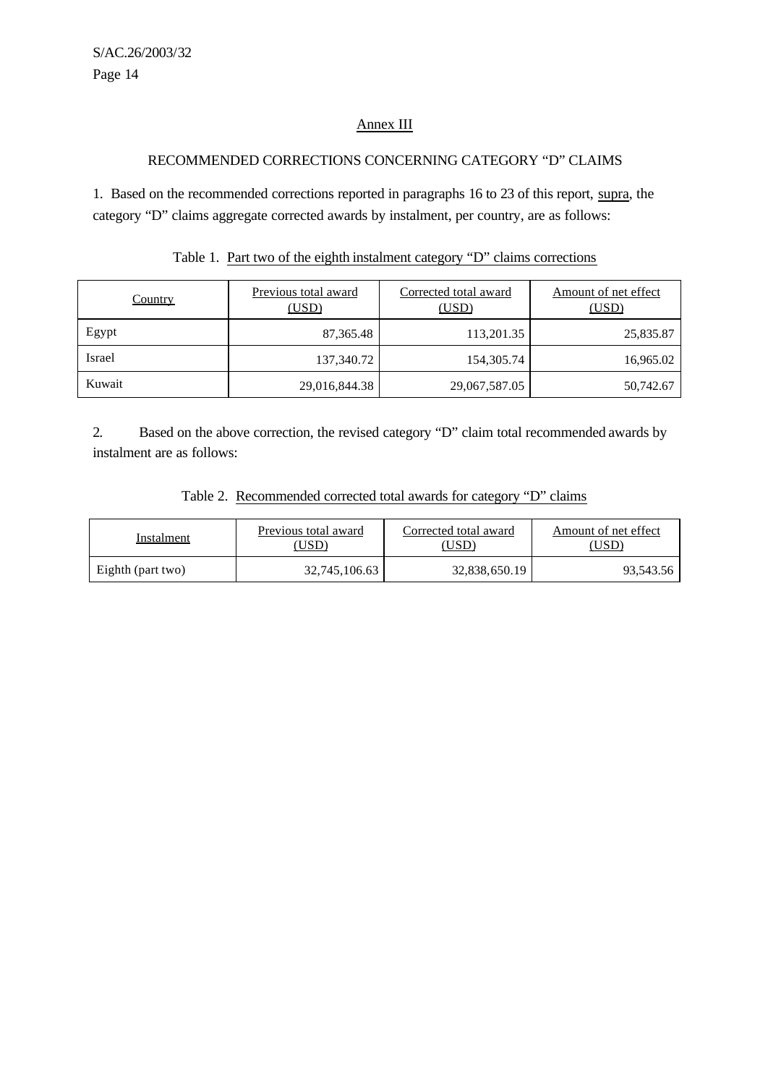# Annex III

## RECOMMENDED CORRECTIONS CONCERNING CATEGORY "D" CLAIMS

1. Based on the recommended corrections reported in paragraphs 16 to 23 of this report, supra, the category "D" claims aggregate corrected awards by instalment, per country, are as follows:

| <b>Country</b> | Previous total award<br>(USD) | Corrected total award<br>(USD) | Amount of net effect<br>(USD) |  |  |
|----------------|-------------------------------|--------------------------------|-------------------------------|--|--|
| Egypt          | 87,365.48                     | 113,201.35                     | 25,835.87                     |  |  |
| Israel         | 137,340.72                    | 154,305.74                     | 16,965.02                     |  |  |
| Kuwait         | 29,016,844.38                 | 29,067,587.05                  | 50,742.67                     |  |  |

| Table 1. Part two of the eighth instalment category "D" claims corrections |  |  |  |  |  |  |  |
|----------------------------------------------------------------------------|--|--|--|--|--|--|--|
|----------------------------------------------------------------------------|--|--|--|--|--|--|--|

2. Based on the above correction, the revised category "D" claim total recommended awards by instalment are as follows:

|--|

| Instalment        | Previous total award<br>$USD^{\circ}$ | Corrected total award<br>$\overline{C}$ | Amount of net effect |  |  |
|-------------------|---------------------------------------|-----------------------------------------|----------------------|--|--|
| Eighth (part two) | 32,745,106.63                         | 32,838,650.19                           | 93,543.56            |  |  |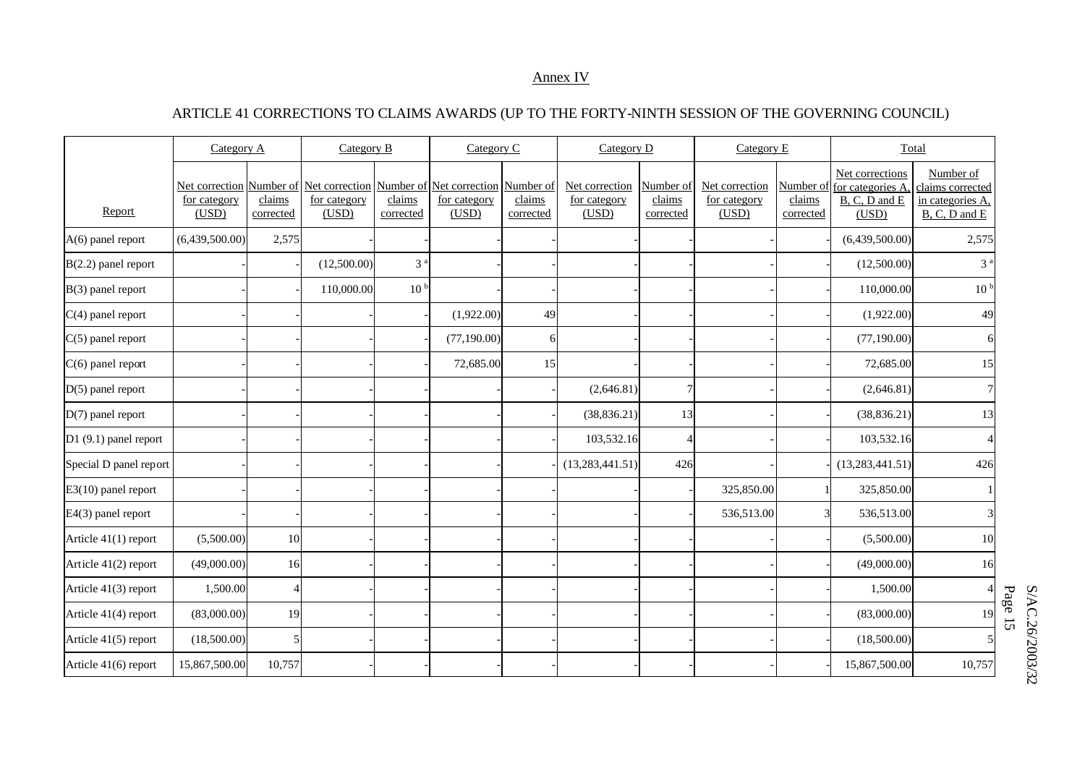#### Annex IV

# ARTICLE 41 CORRECTIONS TO CLAIMS AWARDS (UP TO THE FORTY-NINTH SESSION OF THE GOVERNING COUNCIL)

|                        | Category A                              |                     | Category B                                                                           |                     | Category C            |                     | Category D                              |                                  | Category E                              |                                  |                                                               | Total                                                              |
|------------------------|-----------------------------------------|---------------------|--------------------------------------------------------------------------------------|---------------------|-----------------------|---------------------|-----------------------------------------|----------------------------------|-----------------------------------------|----------------------------------|---------------------------------------------------------------|--------------------------------------------------------------------|
| Report                 | Net correction<br>for category<br>(USD) | claims<br>corrected | Number of Net correction Number of Net correction Number of<br>for category<br>(USD) | claims<br>corrected | for category<br>(USD) | claims<br>corrected | Net correction<br>for category<br>(USD) | Number of<br>claims<br>corrected | Net correction<br>for category<br>(USD) | Number of<br>claims<br>corrected | Net corrections<br>for categories A<br>B, C, D and E<br>(USD) | Number of<br>claims corrected<br>in categories A.<br>B, C, D and E |
| A(6) panel report      | (6,439,500.00)                          | 2,575               |                                                                                      |                     |                       |                     |                                         |                                  |                                         |                                  | (6,439,500.00)                                                | 2,575                                                              |
| $B(2.2)$ panel report  |                                         |                     | (12,500.00)                                                                          | 3 <sup>3</sup>      |                       |                     |                                         |                                  |                                         |                                  | (12,500.00)                                                   | 3 <sup>a</sup>                                                     |
| B(3) panel report      |                                         |                     | 110,000.00                                                                           | 10 <sup>b</sup>     |                       |                     |                                         |                                  |                                         |                                  | 110,000.00                                                    | 10 <sup>b</sup>                                                    |
| $C(4)$ panel report    |                                         |                     |                                                                                      |                     | (1,922.00)            | 49                  |                                         |                                  |                                         |                                  | (1,922.00)                                                    | 49                                                                 |
| $C(5)$ panel report    |                                         |                     |                                                                                      |                     | (77,190.00)           | 6                   |                                         |                                  |                                         |                                  | (77, 190.00)                                                  | 61                                                                 |
| $C(6)$ panel report    |                                         |                     |                                                                                      |                     | 72,685.00             | 15                  |                                         |                                  |                                         |                                  | 72,685.00                                                     | 15                                                                 |
| $D(5)$ panel report    |                                         |                     |                                                                                      |                     |                       |                     | (2,646.81)                              |                                  |                                         |                                  | (2,646.81)                                                    |                                                                    |
| D(7) panel report      |                                         |                     |                                                                                      |                     |                       |                     | (38, 836.21)                            | 13                               |                                         |                                  | (38, 836.21)                                                  | 13                                                                 |
| D1 (9.1) panel report  |                                         |                     |                                                                                      |                     |                       |                     | 103,532.16                              | 4                                |                                         |                                  | 103,532.16                                                    |                                                                    |
| Special D panel report |                                         |                     |                                                                                      |                     |                       |                     | (13, 283, 441.51)                       | 426                              |                                         |                                  | (13, 283, 441.51)                                             | 426                                                                |
| E3(10) panel report    |                                         |                     |                                                                                      |                     |                       |                     |                                         |                                  | 325,850.00                              |                                  | 325,850.00                                                    |                                                                    |
| E4(3) panel report     |                                         |                     |                                                                                      |                     |                       |                     |                                         |                                  | 536,513.00                              |                                  | 536,513.00                                                    |                                                                    |
| Article 41(1) report   | (5,500.00)                              | 10                  |                                                                                      |                     |                       |                     |                                         |                                  |                                         |                                  | (5,500.00)                                                    | 10                                                                 |
| Article 41(2) report   | (49,000.00)                             | 16                  |                                                                                      |                     |                       |                     |                                         |                                  |                                         |                                  | (49,000.00)                                                   | 16                                                                 |
| Article 41(3) report   | 1,500.00                                | $\overline{4}$      |                                                                                      |                     |                       |                     |                                         |                                  |                                         |                                  | 1,500.00                                                      |                                                                    |
| Article 41(4) report   | (83,000.00)                             | 19                  |                                                                                      |                     |                       |                     |                                         |                                  |                                         |                                  | (83,000.00)                                                   | 19                                                                 |
| Article 41(5) report   | (18,500.00)                             | 5                   |                                                                                      |                     |                       |                     |                                         |                                  |                                         |                                  | (18,500.00)                                                   |                                                                    |
| Article 41(6) report   | 15,867,500.00                           | 10,757              |                                                                                      |                     |                       |                     |                                         |                                  |                                         |                                  | 15,867,500.00                                                 | 10,757                                                             |